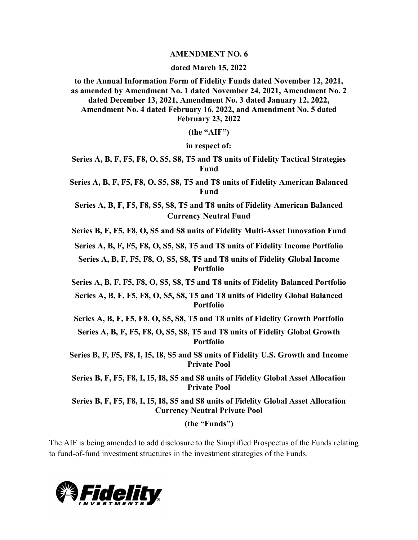## **AMENDMENT NO. 6**

## **dated March 15, 2022**

**to the Annual Information Form of Fidelity Funds dated November 12, 2021, as amended by Amendment No. 1 dated November 24, 2021, Amendment No. 2 dated December 13, 2021, Amendment No. 3 dated January 12, 2022, Amendment No. 4 dated February 16, 2022, and Amendment No. 5 dated February 23, 2022**

**(the "AIF")**

**in respect of:**

**Series A, B, F, F5, F8, O, S5, S8, T5 and T8 units of Fidelity Tactical Strategies Fund**

**Series A, B, F, F5, F8, O, S5, S8, T5 and T8 units of Fidelity American Balanced Fund**

**Series A, B, F, F5, F8, S5, S8, T5 and T8 units of Fidelity American Balanced Currency Neutral Fund**

**Series B, F, F5, F8, O, S5 and S8 units of Fidelity Multi-Asset Innovation Fund**

**Series A, B, F, F5, F8, O, S5, S8, T5 and T8 units of Fidelity Income Portfolio**

**Series A, B, F, F5, F8, O, S5, S8, T5 and T8 units of Fidelity Global Income Portfolio**

**Series A, B, F, F5, F8, O, S5, S8, T5 and T8 units of Fidelity Balanced Portfolio**

**Series A, B, F, F5, F8, O, S5, S8, T5 and T8 units of Fidelity Global Balanced Portfolio**

**Series A, B, F, F5, F8, O, S5, S8, T5 and T8 units of Fidelity Growth Portfolio**

**Series A, B, F, F5, F8, O, S5, S8, T5 and T8 units of Fidelity Global Growth Portfolio**

**Series B, F, F5, F8, I, I5, I8, S5 and S8 units of Fidelity U.S. Growth and Income Private Pool**

**Series B, F, F5, F8, I, I5, I8, S5 and S8 units of Fidelity Global Asset Allocation Private Pool**

**Series B, F, F5, F8, I, I5, I8, S5 and S8 units of Fidelity Global Asset Allocation Currency Neutral Private Pool**

**(the "Funds")**

The AIF is being amended to add disclosure to the Simplified Prospectus of the Funds relating to fund-of-fund investment structures in the investment strategies of the Funds.